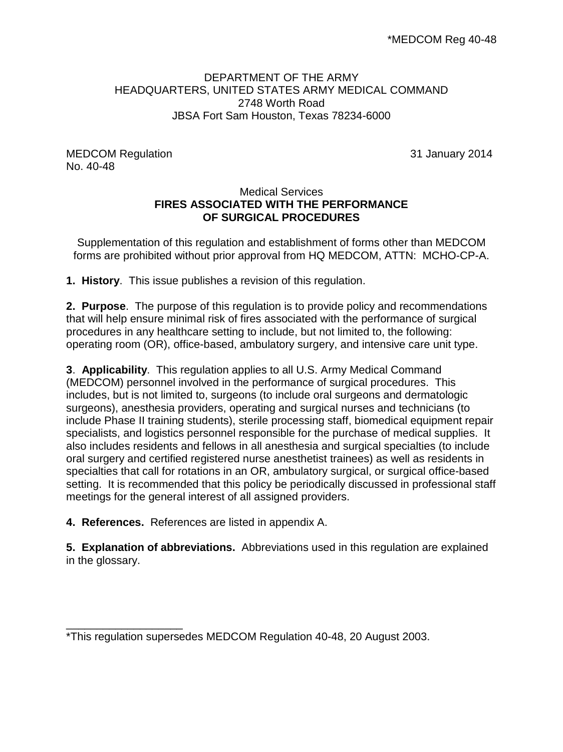## DEPARTMENT OF THE ARMY HEADQUARTERS, UNITED STATES ARMY MEDICAL COMMAND 2748 Worth Road JBSA Fort Sam Houston, Texas 78234-6000

MEDCOM Regulation 31 January 2014 No. 40-48

## Medical Services **FIRES ASSOCIATED WITH THE PERFORMANCE OF SURGICAL PROCEDURES**

Supplementation of this regulation and establishment of forms other than MEDCOM forms are prohibited without prior approval from HQ MEDCOM, ATTN: MCHO-CP-A.

**1. History**. This issue publishes a revision of this regulation.

**2. Purpose**. The purpose of this regulation is to provide policy and recommendations that will help ensure minimal risk of fires associated with the performance of surgical procedures in any healthcare setting to include, but not limited to, the following: operating room (OR), office-based, ambulatory surgery, and intensive care unit type.

**3**. **Applicability**. This regulation applies to all U.S. Army Medical Command (MEDCOM) personnel involved in the performance of surgical procedures. This includes, but is not limited to, surgeons (to include oral surgeons and dermatologic surgeons), anesthesia providers, operating and surgical nurses and technicians (to include Phase II training students), sterile processing staff, biomedical equipment repair specialists, and logistics personnel responsible for the purchase of medical supplies. It also includes residents and fellows in all anesthesia and surgical specialties (to include oral surgery and certified registered nurse anesthetist trainees) as well as residents in specialties that call for rotations in an OR, ambulatory surgical, or surgical office-based setting. It is recommended that this policy be periodically discussed in professional staff meetings for the general interest of all assigned providers.

**4. References.** References are listed in appendix A.

**5. Explanation of abbreviations.** Abbreviations used in this regulation are explained in the glossary.

\_\_\_\_\_\_\_\_\_\_\_\_\_\_\_\_\_\_\_ \*This regulation supersedes MEDCOM Regulation 40-48, 20 August 2003.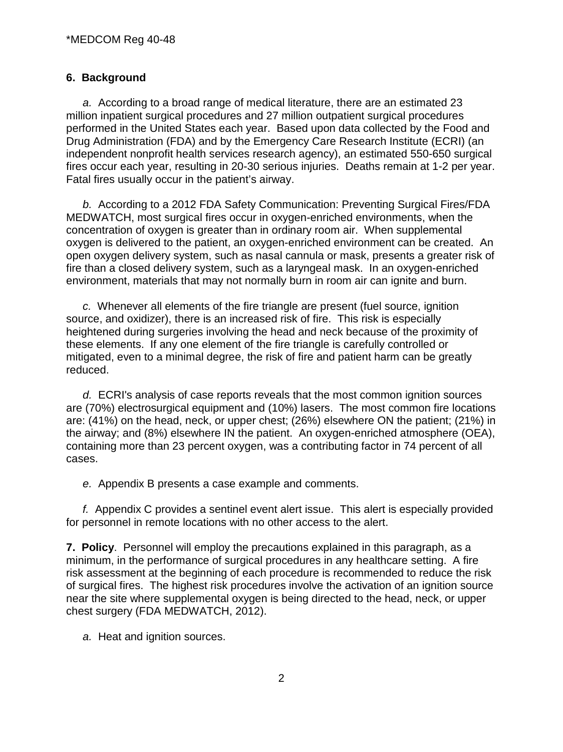### **6. Background**

*a.* According to a broad range of medical literature, there are an estimated 23 million inpatient surgical procedures and 27 million outpatient surgical procedures performed in the United States each year. Based upon data collected by the Food and Drug Administration (FDA) and by the Emergency Care Research Institute (ECRI) (an independent nonprofit health services research agency), an estimated 550-650 surgical fires occur each year, resulting in 20-30 serious injuries. Deaths remain at 1-2 per year. Fatal fires usually occur in the patient's airway.

*b.* According to a 2012 FDA Safety Communication: Preventing Surgical Fires/FDA MEDWATCH, most surgical fires occur in oxygen-enriched environments, when the concentration of oxygen is greater than in ordinary room air. When supplemental oxygen is delivered to the patient, an oxygen-enriched environment can be created. An open oxygen delivery system, such as nasal cannula or mask, presents a greater risk of fire than a closed delivery system, such as a laryngeal mask. In an oxygen-enriched environment, materials that may not normally burn in room air can ignite and burn.

*c.* Whenever all elements of the fire triangle are present (fuel source, ignition source, and oxidizer), there is an increased risk of fire. This risk is especially heightened during surgeries involving the head and neck because of the proximity of these elements. If any one element of the fire triangle is carefully controlled or mitigated, even to a minimal degree, the risk of fire and patient harm can be greatly reduced.

*d.* ECRI's analysis of case reports reveals that the most common ignition sources are (70%) electrosurgical equipment and (10%) lasers. The most common fire locations are: (41%) on the head, neck, or upper chest; (26%) elsewhere ON the patient; (21%) in the airway; and (8%) elsewhere IN the patient. An oxygen-enriched atmosphere (OEA), containing more than 23 percent oxygen, was a contributing factor in 74 percent of all cases.

*e.* Appendix B presents a case example and comments.

*f.* Appendix C provides a sentinel event alert issue. This alert is especially provided for personnel in remote locations with no other access to the alert.

**7. Policy**. Personnel will employ the precautions explained in this paragraph, as a minimum, in the performance of surgical procedures in any healthcare setting. A fire risk assessment at the beginning of each procedure is recommended to reduce the risk of surgical fires. The highest risk procedures involve the activation of an ignition source near the site where supplemental oxygen is being directed to the head, neck, or upper chest surgery (FDA MEDWATCH, 2012).

*a.* Heat and ignition sources.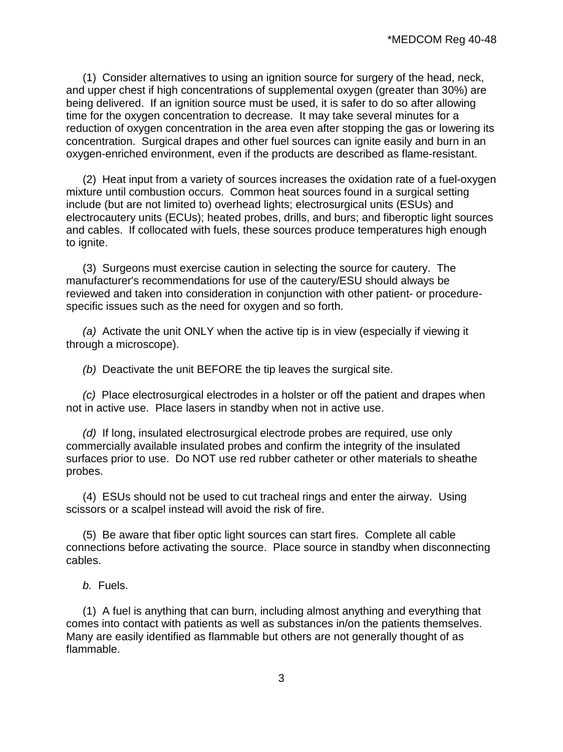(1) Consider alternatives to using an ignition source for surgery of the head, neck, and upper chest if high concentrations of supplemental oxygen (greater than 30%) are being delivered. If an ignition source must be used, it is safer to do so after allowing time for the oxygen concentration to decrease. It may take several minutes for a reduction of oxygen concentration in the area even after stopping the gas or lowering its concentration. Surgical drapes and other fuel sources can ignite easily and burn in an oxygen-enriched environment, even if the products are described as flame-resistant.

(2) Heat input from a variety of sources increases the oxidation rate of a fuel-oxygen mixture until combustion occurs. Common heat sources found in a surgical setting include (but are not limited to) overhead lights; electrosurgical units (ESUs) and electrocautery units (ECUs); heated probes, drills, and burs; and fiberoptic light sources and cables. If collocated with fuels, these sources produce temperatures high enough to ignite.

(3) Surgeons must exercise caution in selecting the source for cautery. The manufacturer's recommendations for use of the cautery/ESU should always be reviewed and taken into consideration in conjunction with other patient- or procedurespecific issues such as the need for oxygen and so forth.

*(a)* Activate the unit ONLY when the active tip is in view (especially if viewing it through a microscope).

*(b)* Deactivate the unit BEFORE the tip leaves the surgical site.

*(c)* Place electrosurgical electrodes in a holster or off the patient and drapes when not in active use. Place lasers in standby when not in active use.

*(d)* If long, insulated electrosurgical electrode probes are required, use only commercially available insulated probes and confirm the integrity of the insulated surfaces prior to use. Do NOT use red rubber catheter or other materials to sheathe probes.

 (4) ESUs should not be used to cut tracheal rings and enter the airway. Using scissors or a scalpel instead will avoid the risk of fire.

(5) Be aware that fiber optic light sources can start fires. Complete all cable connections before activating the source. Place source in standby when disconnecting cables.

*b.* Fuels.

(1) A fuel is anything that can burn, including almost anything and everything that comes into contact with patients as well as substances in/on the patients themselves. Many are easily identified as flammable but others are not generally thought of as flammable.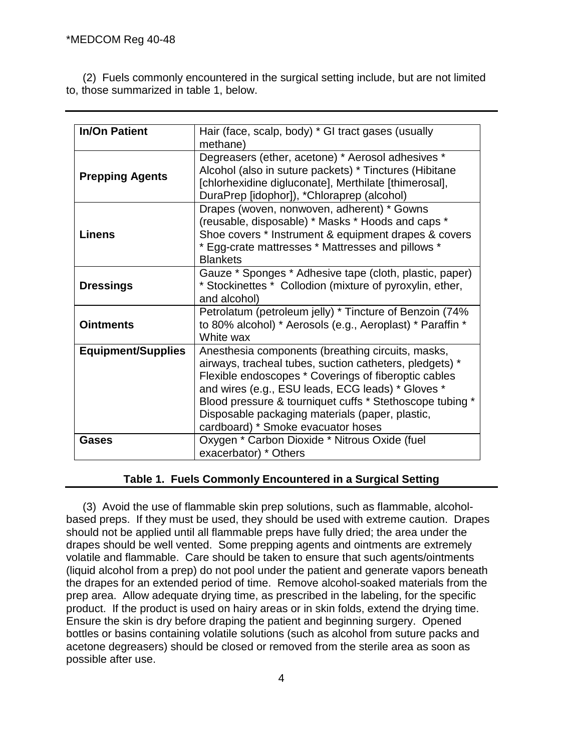(2) Fuels commonly encountered in the surgical setting include, but are not limited to, those summarized in table 1, below.

| <b>In/On Patient</b>      | Hair (face, scalp, body) * GI tract gases (usually                                                                                                                                                                                                                                                                                                                             |
|---------------------------|--------------------------------------------------------------------------------------------------------------------------------------------------------------------------------------------------------------------------------------------------------------------------------------------------------------------------------------------------------------------------------|
|                           | methane)                                                                                                                                                                                                                                                                                                                                                                       |
| <b>Prepping Agents</b>    | Degreasers (ether, acetone) * Aerosol adhesives *<br>Alcohol (also in suture packets) * Tinctures (Hibitane<br>[chlorhexidine digluconate], Merthilate [thimerosal],<br>DuraPrep [idophor]), *Chloraprep (alcohol)                                                                                                                                                             |
| <b>Linens</b>             | Drapes (woven, nonwoven, adherent) * Gowns<br>(reusable, disposable) * Masks * Hoods and caps *<br>Shoe covers * Instrument & equipment drapes & covers<br>* Egg-crate mattresses * Mattresses and pillows *<br><b>Blankets</b>                                                                                                                                                |
| <b>Dressings</b>          | Gauze * Sponges * Adhesive tape (cloth, plastic, paper)<br>* Stockinettes * Collodion (mixture of pyroxylin, ether,<br>and alcohol)                                                                                                                                                                                                                                            |
| <b>Ointments</b>          | Petrolatum (petroleum jelly) * Tincture of Benzoin (74%<br>to 80% alcohol) * Aerosols (e.g., Aeroplast) * Paraffin *<br>White wax                                                                                                                                                                                                                                              |
| <b>Equipment/Supplies</b> | Anesthesia components (breathing circuits, masks,<br>airways, tracheal tubes, suction catheters, pledgets) *<br>Flexible endoscopes * Coverings of fiberoptic cables<br>and wires (e.g., ESU leads, ECG leads) * Gloves *<br>Blood pressure & tourniquet cuffs * Stethoscope tubing *<br>Disposable packaging materials (paper, plastic,<br>cardboard) * Smoke evacuator hoses |
| Gases                     | Oxygen * Carbon Dioxide * Nitrous Oxide (fuel<br>exacerbator) * Others                                                                                                                                                                                                                                                                                                         |

#### **Table 1. Fuels Commonly Encountered in a Surgical Setting**

 (3) Avoid the use of flammable skin prep solutions, such as flammable, alcoholbased preps. If they must be used, they should be used with extreme caution. Drapes should not be applied until all flammable preps have fully dried; the area under the drapes should be well vented. Some prepping agents and ointments are extremely volatile and flammable. Care should be taken to ensure that such agents/ointments (liquid alcohol from a prep) do not pool under the patient and generate vapors beneath the drapes for an extended period of time. Remove alcohol-soaked materials from the prep area. Allow adequate drying time, as prescribed in the labeling, for the specific product. If the product is used on hairy areas or in skin folds, extend the drying time. Ensure the skin is dry before draping the patient and beginning surgery. Opened bottles or basins containing volatile solutions (such as alcohol from suture packs and acetone degreasers) should be closed or removed from the sterile area as soon as possible after use.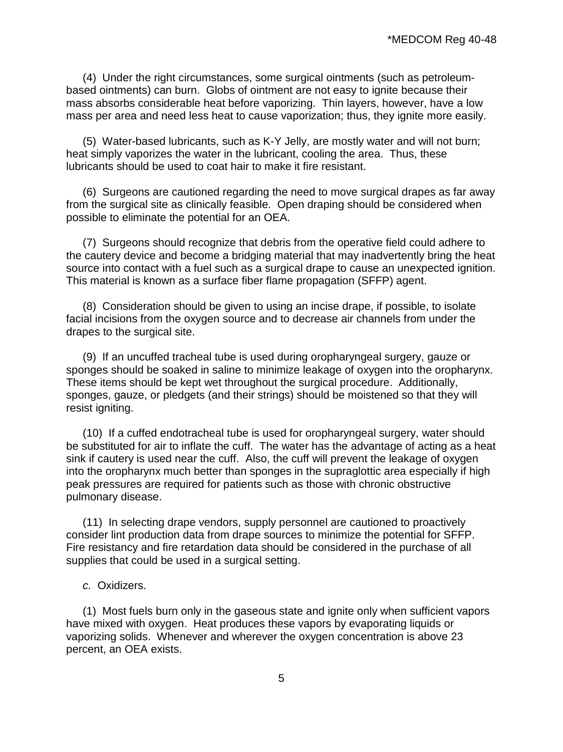(4) Under the right circumstances, some surgical ointments (such as petroleumbased ointments) can burn. Globs of ointment are not easy to ignite because their mass absorbs considerable heat before vaporizing. Thin layers, however, have a low mass per area and need less heat to cause vaporization; thus, they ignite more easily.

(5) Water-based lubricants, such as K-Y Jelly, are mostly water and will not burn; heat simply vaporizes the water in the lubricant, cooling the area. Thus, these lubricants should be used to coat hair to make it fire resistant.

(6) Surgeons are cautioned regarding the need to move surgical drapes as far away from the surgical site as clinically feasible. Open draping should be considered when possible to eliminate the potential for an OEA.

(7) Surgeons should recognize that debris from the operative field could adhere to the cautery device and become a bridging material that may inadvertently bring the heat source into contact with a fuel such as a surgical drape to cause an unexpected ignition. This material is known as a surface fiber flame propagation (SFFP) agent.

(8) Consideration should be given to using an incise drape, if possible, to isolate facial incisions from the oxygen source and to decrease air channels from under the drapes to the surgical site.

(9) If an uncuffed tracheal tube is used during oropharyngeal surgery, gauze or sponges should be soaked in saline to minimize leakage of oxygen into the oropharynx. These items should be kept wet throughout the surgical procedure. Additionally, sponges, gauze, or pledgets (and their strings) should be moistened so that they will resist igniting.

(10) If a cuffed endotracheal tube is used for oropharyngeal surgery, water should be substituted for air to inflate the cuff. The water has the advantage of acting as a heat sink if cautery is used near the cuff. Also, the cuff will prevent the leakage of oxygen into the oropharynx much better than sponges in the supraglottic area especially if high peak pressures are required for patients such as those with chronic obstructive pulmonary disease.

(11) In selecting drape vendors, supply personnel are cautioned to proactively consider lint production data from drape sources to minimize the potential for SFFP. Fire resistancy and fire retardation data should be considered in the purchase of all supplies that could be used in a surgical setting.

#### *c.* Oxidizers.

(1) Most fuels burn only in the gaseous state and ignite only when sufficient vapors have mixed with oxygen. Heat produces these vapors by evaporating liquids or vaporizing solids. Whenever and wherever the oxygen concentration is above 23 percent, an OEA exists.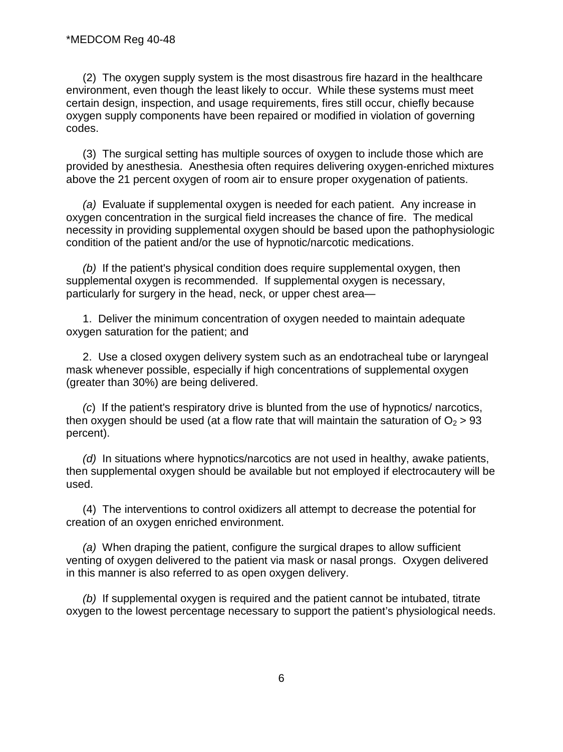(2) The oxygen supply system is the most disastrous fire hazard in the healthcare environment, even though the least likely to occur. While these systems must meet certain design, inspection, and usage requirements, fires still occur, chiefly because oxygen supply components have been repaired or modified in violation of governing codes.

(3) The surgical setting has multiple sources of oxygen to include those which are provided by anesthesia. Anesthesia often requires delivering oxygen-enriched mixtures above the 21 percent oxygen of room air to ensure proper oxygenation of patients.

*(a)* Evaluate if supplemental oxygen is needed for each patient. Any increase in oxygen concentration in the surgical field increases the chance of fire. The medical necessity in providing supplemental oxygen should be based upon the pathophysiologic condition of the patient and/or the use of hypnotic/narcotic medications.

*(b)* If the patient's physical condition does require supplemental oxygen, then supplemental oxygen is recommended. If supplemental oxygen is necessary, particularly for surgery in the head, neck, or upper chest area—

1. Deliver the minimum concentration of oxygen needed to maintain adequate oxygen saturation for the patient; and

2. Use a closed oxygen delivery system such as an endotracheal tube or laryngeal mask whenever possible, especially if high concentrations of supplemental oxygen (greater than 30%) are being delivered.

*(c*) If the patient's respiratory drive is blunted from the use of hypnotics/ narcotics, then oxygen should be used (at a flow rate that will maintain the saturation of  $O<sub>2</sub> > 93$ percent).

*(d)* In situations where hypnotics/narcotics are not used in healthy, awake patients, then supplemental oxygen should be available but not employed if electrocautery will be used.

(4) The interventions to control oxidizers all attempt to decrease the potential for creation of an oxygen enriched environment.

*(a)* When draping the patient, configure the surgical drapes to allow sufficient venting of oxygen delivered to the patient via mask or nasal prongs. Oxygen delivered in this manner is also referred to as open oxygen delivery.

*(b)* If supplemental oxygen is required and the patient cannot be intubated, titrate oxygen to the lowest percentage necessary to support the patient's physiological needs.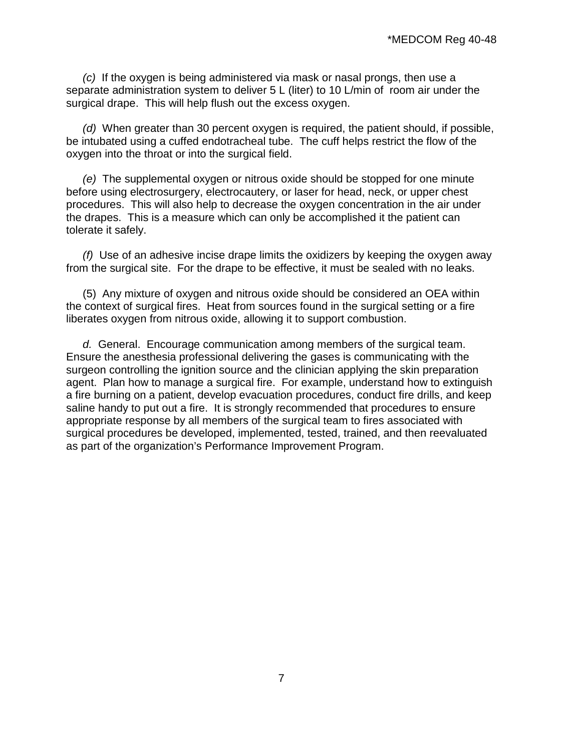*(c)* If the oxygen is being administered via mask or nasal prongs, then use a separate administration system to deliver 5 L (liter) to 10 L/min of room air under the surgical drape. This will help flush out the excess oxygen.

*(d)* When greater than 30 percent oxygen is required, the patient should, if possible, be intubated using a cuffed endotracheal tube. The cuff helps restrict the flow of the oxygen into the throat or into the surgical field.

*(e)* The supplemental oxygen or nitrous oxide should be stopped for one minute before using electrosurgery, electrocautery, or laser for head, neck, or upper chest procedures. This will also help to decrease the oxygen concentration in the air under the drapes. This is a measure which can only be accomplished it the patient can tolerate it safely.

*(f)* Use of an adhesive incise drape limits the oxidizers by keeping the oxygen away from the surgical site. For the drape to be effective, it must be sealed with no leaks.

 (5) Any mixture of oxygen and nitrous oxide should be considered an OEA within the context of surgical fires. Heat from sources found in the surgical setting or a fire liberates oxygen from nitrous oxide, allowing it to support combustion.

*d.* General. Encourage communication among members of the surgical team. Ensure the anesthesia professional delivering the gases is communicating with the surgeon controlling the ignition source and the clinician applying the skin preparation agent. Plan how to manage a surgical fire. For example, understand how to extinguish a fire burning on a patient, develop evacuation procedures, conduct fire drills, and keep saline handy to put out a fire. It is strongly recommended that procedures to ensure appropriate response by all members of the surgical team to fires associated with surgical procedures be developed, implemented, tested, trained, and then reevaluated as part of the organization's Performance Improvement Program.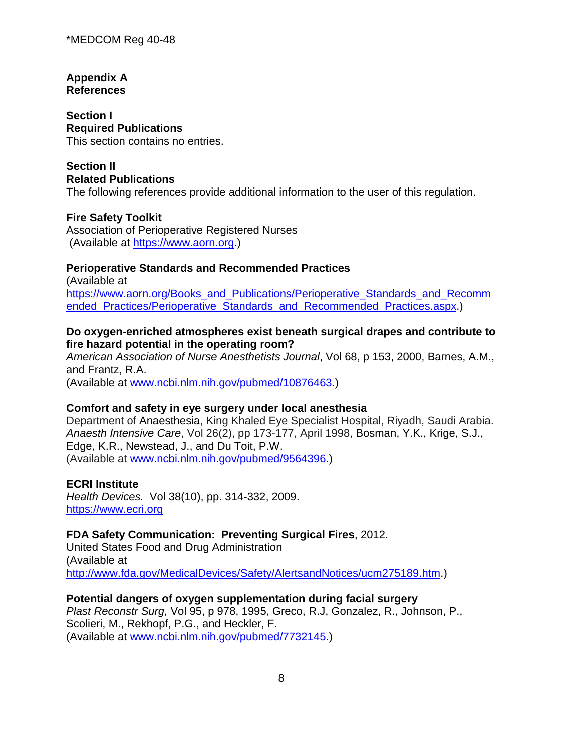#### **Appendix A References**

#### **Section I Required Publications**

This section contains no entries.

#### **Section II Related Publications**

The following references provide additional information to the user of this regulation.

# **Fire Safety Toolkit**

Association of Perioperative Registered Nurses (Available at [https://www.aorn.org.](https://www.aorn.org/))

## **Perioperative Standards and Recommended Practices**

(Available at [https://www.aorn.org/Books\\_and\\_Publications/Perioperative\\_Standards\\_and\\_Recomm](https://www.aorn.org/Books_and_Publications/Perioperative_Standards_and_Recommended_Practices/Perioperative_Standards_and_Recommended_Practices.aspx) [ended\\_Practices/Perioperative\\_Standards\\_and\\_Recommended\\_Practices.aspx.](https://www.aorn.org/Books_and_Publications/Perioperative_Standards_and_Recommended_Practices/Perioperative_Standards_and_Recommended_Practices.aspx))

#### **Do oxygen-enriched atmospheres exist beneath surgical drapes and contribute to fire hazard potential in the operating room?**

*American Association of Nurse Anesthetists Journal*, Vol 68, p 153, 2000, Barnes, A.M., and Frantz, R.A. (Available at [www.ncbi.nlm.nih.gov/pubmed/10876463.](http://www.ncbi.nlm.nih.gov/pubmed/10876463))

## **Comfort and safety in eye surgery under local anesthesia**

Department of Anaesthesia, King Khaled Eye Specialist Hospital, Riyadh, Saudi Arabia. *Anaesth Intensive Care*, Vol 26(2), pp 173-177, April 1998, Bosman, Y.K., Krige, S.J., Edge, K.R., Newstead, J., and Du Toit, P.W. (Available at [www.ncbi.nlm.nih.gov/pubmed/9564396.](http://www.ncbi.nlm.nih.gov/pubmed/9564396))

## **ECRI Institute**

*Health Devices.* Vol 38(10), pp. 314-332, 2009. [https://www.ecri.org](https://www.ecri.org/)

## **FDA Safety Communication: Preventing Surgical Fires**, 2012.

United States Food and Drug Administration (Available at [http://www.fda.gov/MedicalDevices/Safety/AlertsandNotices/ucm275189.htm.](http://www.fda.gov/MedicalDevices/Safety/AlertsandNotices/ucm275189.htm))

## **Potential dangers of oxygen supplementation during facial surgery**

*Plast Reconstr Surg,* Vol 95, p 978, 1995, Greco, R.J, Gonzalez, R., Johnson, P., Scolieri, M., Rekhopf, P.G., and Heckler, F. (Available at [www.ncbi.nlm.nih.gov/pubmed/7732145.](http://www.ncbi.nlm.nih.gov/pubmed/7732145))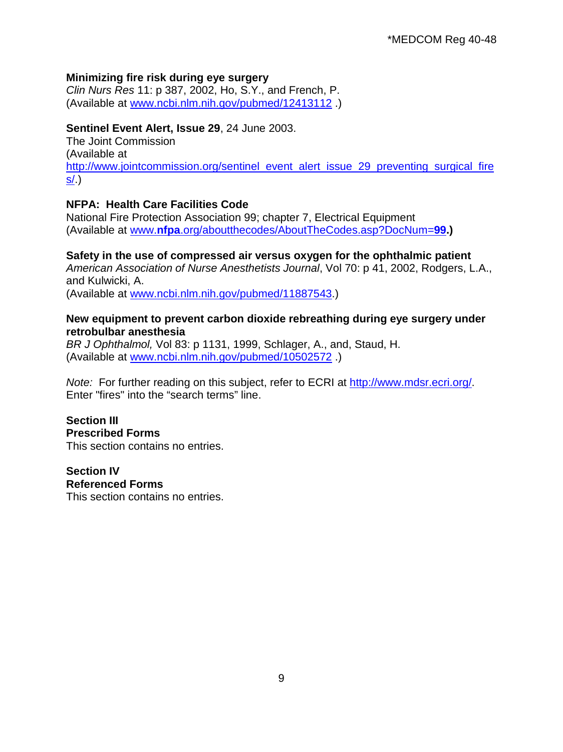### **Minimizing fire risk during eye surgery**

*Clin Nurs Res* 11: p 387, 2002, Ho, S.Y., and French, P. (Available at [www.ncbi.nlm.nih.gov/pubmed/12413112](http://www.ncbi.nlm.nih.gov/pubmed/12413112) .)

#### **Sentinel Event Alert, Issue 29**, 24 June 2003.

The Joint Commission (Available at [http://www.jointcommission.org/sentinel\\_event\\_alert\\_issue\\_29\\_preventing\\_surgical\\_fire](http://www.jointcommission.org/sentinel_event_alert_issue_29_preventing_surgical_fires/) [s/.](http://www.jointcommission.org/sentinel_event_alert_issue_29_preventing_surgical_fires/))

## **NFPA: Health Care Facilities Code**

National Fire Protection Association 99; chapter 7, Electrical Equipment (Available at www.**nfpa**[.org/aboutthecodes/AboutTheCodes.asp?DocNum=](http://www.nfpa.org/aboutthecodes/AboutTheCodes.asp?DocNum=99)**99.)**

#### **Safety in the use of compressed air versus oxygen for the ophthalmic patient**

*American Association of Nurse Anesthetists Journal*, Vol 70: p 41, 2002, Rodgers, L.A., and Kulwicki, A.

(Available at [www.ncbi.nlm.nih.gov/pubmed/11887543.](http://www.ncbi.nlm.nih.gov/pubmed/11887543))

#### **New equipment to prevent carbon dioxide rebreathing during eye surgery under retrobulbar anesthesia**

*BR J Ophthalmol,* Vol 83: p 1131, 1999, Schlager, A., and, Staud, H. (Available at [www.ncbi.nlm.nih.gov/pubmed/10502572](http://www.ncbi.nlm.nih.gov/pubmed/10502572) .)

*Note:* For further reading on this subject, refer to ECRI at [http://www.mdsr.ecri.org/.](http://www.mdsr.ecri.org/) Enter "fires" into the "search terms" line.

#### **Section III Prescribed Forms**

This section contains no entries.

#### **Section IV Referenced Forms**

This section contains no entries.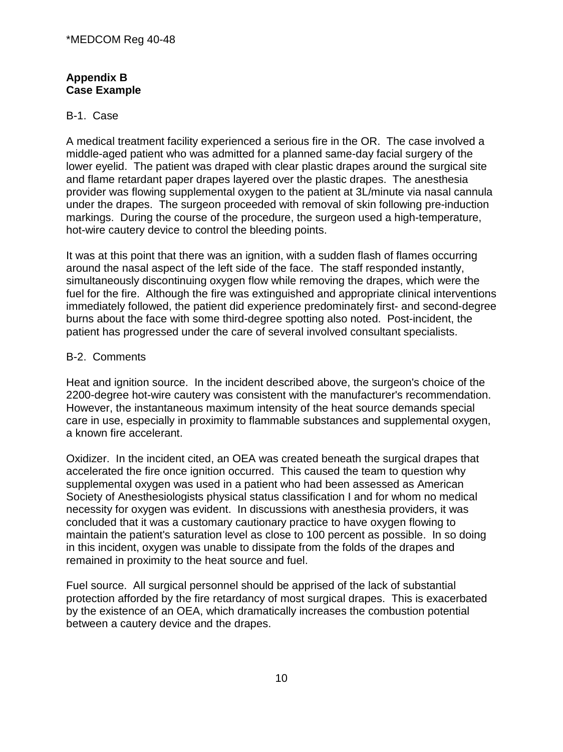### **Appendix B Case Example**

#### B-1. Case

A medical treatment facility experienced a serious fire in the OR. The case involved a middle-aged patient who was admitted for a planned same-day facial surgery of the lower eyelid. The patient was draped with clear plastic drapes around the surgical site and flame retardant paper drapes layered over the plastic drapes. The anesthesia provider was flowing supplemental oxygen to the patient at 3L/minute via nasal cannula under the drapes. The surgeon proceeded with removal of skin following pre-induction markings. During the course of the procedure, the surgeon used a high-temperature, hot-wire cautery device to control the bleeding points.

It was at this point that there was an ignition, with a sudden flash of flames occurring around the nasal aspect of the left side of the face. The staff responded instantly, simultaneously discontinuing oxygen flow while removing the drapes, which were the fuel for the fire. Although the fire was extinguished and appropriate clinical interventions immediately followed, the patient did experience predominately first- and second-degree burns about the face with some third-degree spotting also noted. Post-incident, the patient has progressed under the care of several involved consultant specialists.

#### B-2. Comments

Heat and ignition source. In the incident described above, the surgeon's choice of the 2200-degree hot-wire cautery was consistent with the manufacturer's recommendation. However, the instantaneous maximum intensity of the heat source demands special care in use, especially in proximity to flammable substances and supplemental oxygen, a known fire accelerant.

Oxidizer. In the incident cited, an OEA was created beneath the surgical drapes that accelerated the fire once ignition occurred. This caused the team to question why supplemental oxygen was used in a patient who had been assessed as American Society of Anesthesiologists physical status classification I and for whom no medical necessity for oxygen was evident. In discussions with anesthesia providers, it was concluded that it was a customary cautionary practice to have oxygen flowing to maintain the patient's saturation level as close to 100 percent as possible. In so doing in this incident, oxygen was unable to dissipate from the folds of the drapes and remained in proximity to the heat source and fuel.

Fuel source. All surgical personnel should be apprised of the lack of substantial protection afforded by the fire retardancy of most surgical drapes. This is exacerbated by the existence of an OEA, which dramatically increases the combustion potential between a cautery device and the drapes.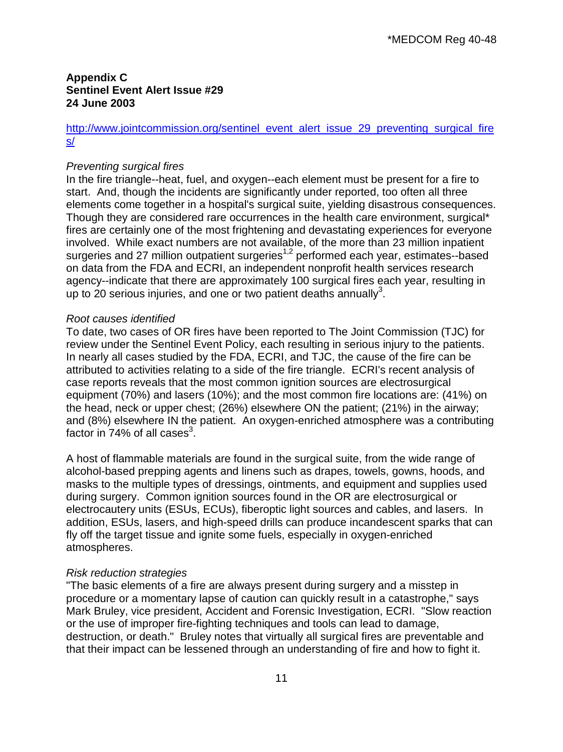#### **Appendix C Sentinel Event Alert Issue #29 24 June 2003**

#### [http://www.jointcommission.org/sentinel\\_event\\_alert\\_issue\\_29\\_preventing\\_surgical\\_fire](http://www.jointcommission.org/sentinel_event_alert_issue_29_preventing_surgical_fires/) [s/](http://www.jointcommission.org/sentinel_event_alert_issue_29_preventing_surgical_fires/)

#### *Preventing surgical fires*

In the fire triangle--heat, fuel, and oxygen--each element must be present for a fire to start. And, though the incidents are significantly under reported, too often all three elements come together in a hospital's surgical suite, yielding disastrous consequences. Though they are considered rare occurrences in the health care environment, surgical\* fires are certainly one of the most frightening and devastating experiences for everyone involved. While exact numbers are not available, of the more than 23 million inpatient surgeries and 27 million outpatient surgeries<sup>1,2</sup> performed each year, estimates--based on data from the FDA and ECRI, an independent nonprofit health services research agency--indicate that there are approximately 100 surgical fires each year, resulting in up to 20 serious injuries, and one or two patient deaths annually<sup>3</sup>.

#### *Root causes identified*

To date, two cases of OR fires have been reported to The Joint Commission (TJC) for review under the Sentinel Event Policy, each resulting in serious injury to the patients. In nearly all cases studied by the FDA, ECRI, and TJC, the cause of the fire can be attributed to activities relating to a side of the fire triangle. ECRI's recent analysis of case reports reveals that the most common ignition sources are electrosurgical equipment (70%) and lasers (10%); and the most common fire locations are: (41%) on the head, neck or upper chest; (26%) elsewhere ON the patient; (21%) in the airway; and (8%) elsewhere IN the patient. An oxygen-enriched atmosphere was a contributing factor in 74% of all cases<sup>3</sup>.

A host of flammable materials are found in the surgical suite, from the wide range of alcohol-based prepping agents and linens such as drapes, towels, gowns, hoods, and masks to the multiple types of dressings, ointments, and equipment and supplies used during surgery. Common ignition sources found in the OR are electrosurgical or electrocautery units (ESUs, ECUs), fiberoptic light sources and cables, and lasers. In addition, ESUs, lasers, and high-speed drills can produce incandescent sparks that can fly off the target tissue and ignite some fuels, especially in oxygen-enriched atmospheres.

## *Risk reduction strategies*

"The basic elements of a fire are always present during surgery and a misstep in procedure or a momentary lapse of caution can quickly result in a catastrophe," says Mark Bruley, vice president, Accident and Forensic Investigation, ECRI. "Slow reaction or the use of improper fire-fighting techniques and tools can lead to damage, destruction, or death." Bruley notes that virtually all surgical fires are preventable and that their impact can be lessened through an understanding of fire and how to fight it.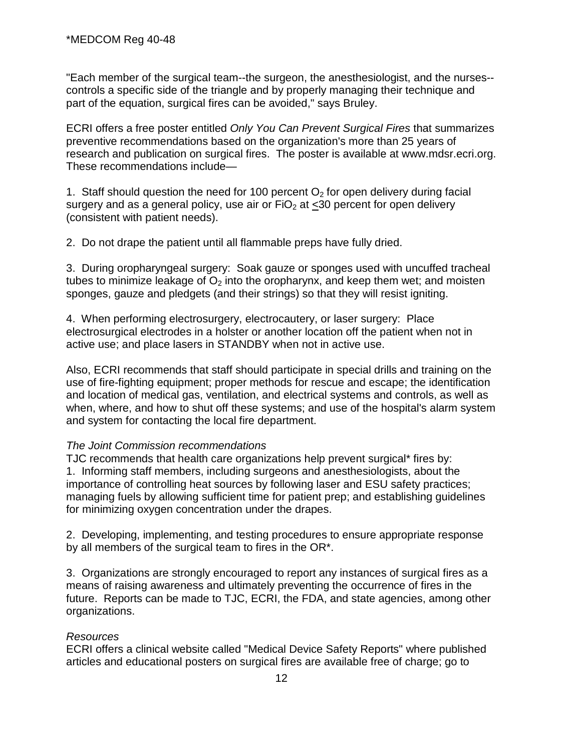"Each member of the surgical team--the surgeon, the anesthesiologist, and the nurses- controls a specific side of the triangle and by properly managing their technique and part of the equation, surgical fires can be avoided," says Bruley.

ECRI offers a free poster entitled *Only You Can Prevent Surgical Fires* that summarizes preventive recommendations based on the organization's more than 25 years of research and publication on surgical fires. The poster is available at www.mdsr.ecri.org. These recommendations include—

1. Staff should question the need for 100 percent  $O<sub>2</sub>$  for open delivery during facial surgery and as a general policy, use air or  $FiO<sub>2</sub>$  at <30 percent for open delivery (consistent with patient needs).

2. Do not drape the patient until all flammable preps have fully dried.

3. During oropharyngeal surgery: Soak gauze or sponges used with uncuffed tracheal tubes to minimize leakage of  $O<sub>2</sub>$  into the oropharynx, and keep them wet; and moisten sponges, gauze and pledgets (and their strings) so that they will resist igniting.

4. When performing electrosurgery, electrocautery, or laser surgery: Place electrosurgical electrodes in a holster or another location off the patient when not in active use; and place lasers in STANDBY when not in active use.

Also, ECRI recommends that staff should participate in special drills and training on the use of fire-fighting equipment; proper methods for rescue and escape; the identification and location of medical gas, ventilation, and electrical systems and controls, as well as when, where, and how to shut off these systems; and use of the hospital's alarm system and system for contacting the local fire department.

#### *The Joint Commission recommendations*

TJC recommends that health care organizations help prevent surgical\* fires by: 1. Informing staff members, including surgeons and anesthesiologists, about the importance of controlling heat sources by following laser and ESU safety practices; managing fuels by allowing sufficient time for patient prep; and establishing guidelines for minimizing oxygen concentration under the drapes.

2. Developing, implementing, and testing procedures to ensure appropriate response by all members of the surgical team to fires in the OR\*.

3. Organizations are strongly encouraged to report any instances of surgical fires as a means of raising awareness and ultimately preventing the occurrence of fires in the future. Reports can be made to TJC, ECRI, the FDA, and state agencies, among other organizations.

## *Resources*

ECRI offers a clinical website called "Medical Device Safety Reports" where published articles and educational posters on surgical fires are available free of charge; go to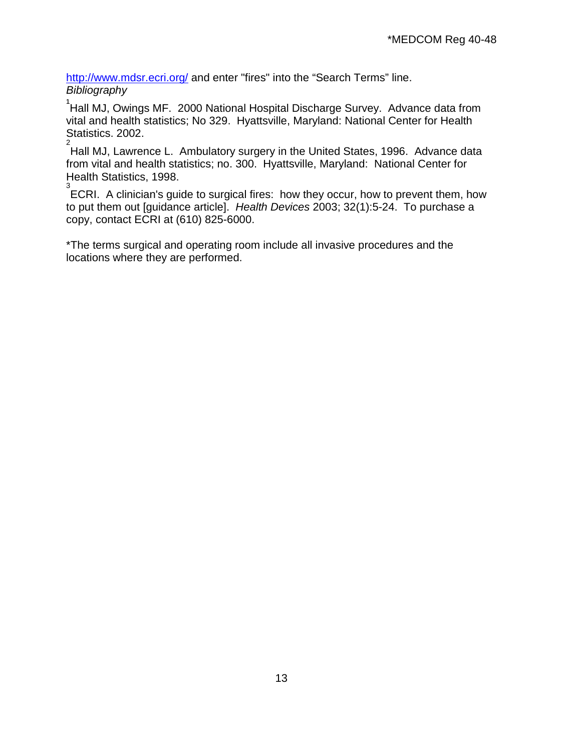<http://www.mdsr.ecri.org/> and enter "fires" into the "Search Terms" line. *Bibliography* 

 $^{1}$ Hall MJ, Owings MF. 2000 National Hospital Discharge Survey. Advance data from vital and health statistics; No 329. Hyattsville, Maryland: National Center for Health Statistics. 2002. 2

Hall MJ, Lawrence L. Ambulatory surgery in the United States, 1996. Advance data from vital and health statistics; no. 300. Hyattsville, Maryland: National Center for Health Statistics, 1998.

3 ECRI. A clinician's guide to surgical fires: how they occur, how to prevent them, how to put them out [guidance article]. *Health Devices* 2003; 32(1):5-24. To purchase a copy, contact ECRI at (610) 825-6000.

\*The terms surgical and operating room include all invasive procedures and the locations where they are performed.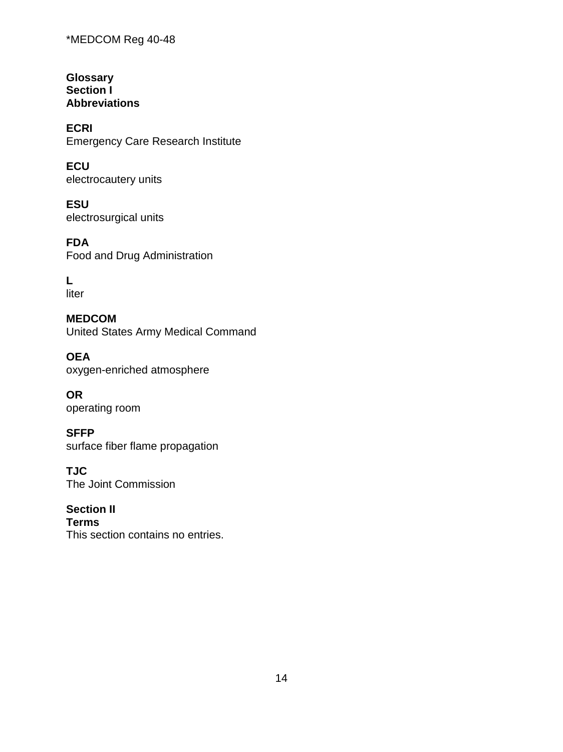\*MEDCOM Reg 40-48

**Glossary Section I Abbreviations** 

**ECRI** Emergency Care Research Institute

**ECU** electrocautery units

**ESU** electrosurgical units

**FDA** Food and Drug Administration

**L**  liter

**MEDCOM** United States Army Medical Command

**OEA** oxygen-enriched atmosphere

**OR** operating room

**SFFP** surface fiber flame propagation

**TJC** The Joint Commission

**Section II Terms** This section contains no entries.